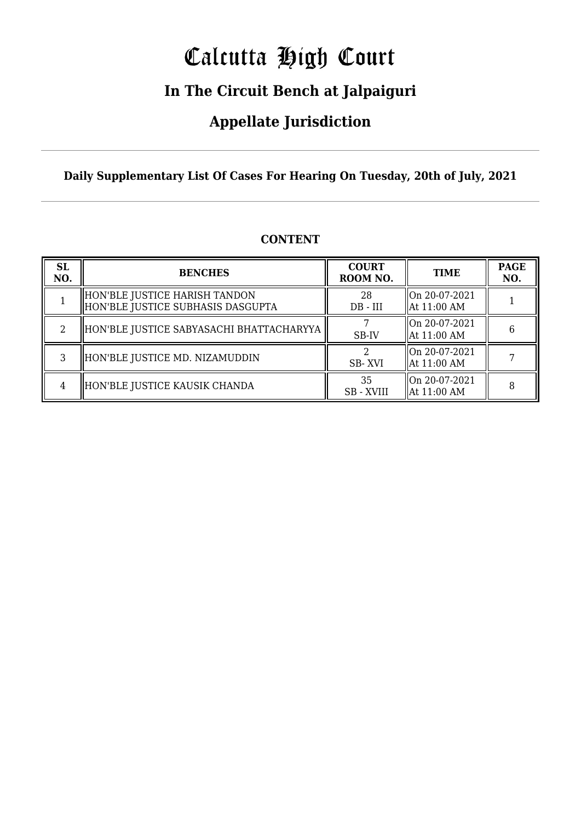# Calcutta High Court

### **In The Circuit Bench at Jalpaiguri**

### **Appellate Jurisdiction**

**Daily Supplementary List Of Cases For Hearing On Tuesday, 20th of July, 2021**

| <b>SL</b><br>NO. | <b>BENCHES</b>                                                     | <b>COURT</b><br>ROOM NO. | <b>TIME</b>                    | <b>PAGE</b><br>NO. |
|------------------|--------------------------------------------------------------------|--------------------------|--------------------------------|--------------------|
|                  | HON'BLE JUSTICE HARISH TANDON<br>HON'BLE JUSTICE SUBHASIS DASGUPTA | 28<br>$DB - III$         | On 20-07-2021<br>  At 11:00 AM |                    |
|                  | HON'BLE JUSTICE SABYASACHI BHATTACHARYYA                           | SB-IV                    | On 20-07-2021<br>  At 11:00 AM | 6                  |
|                  | HON'BLE JUSTICE MD. NIZAMUDDIN                                     | SB-XVI                   | On 20-07-2021<br>  At 11:00 AM |                    |
| 4                | HON'BLE JUSTICE KAUSIK CHANDA                                      | 35<br><b>SB</b> - XVIII  | On 20-07-2021<br>  At 11:00 AM |                    |

#### **CONTENT**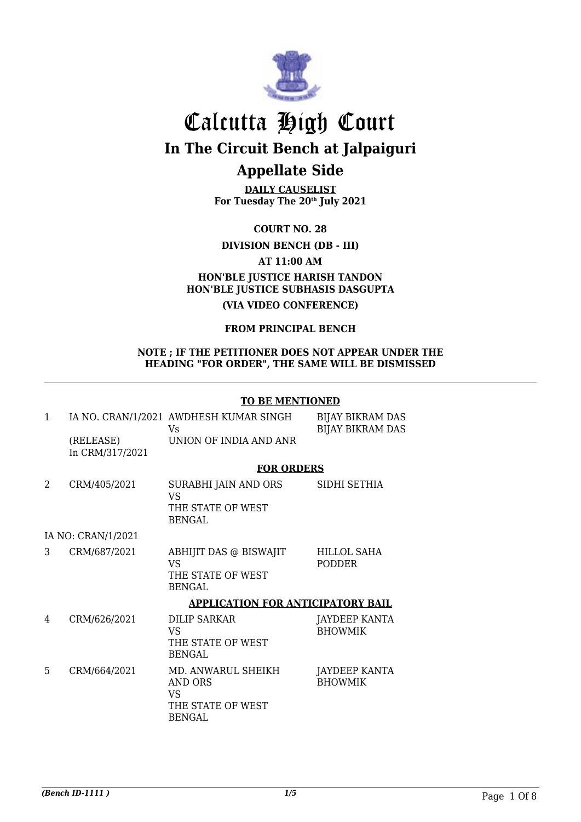

**DAILY CAUSELIST For Tuesday The 20th July 2021**

**COURT NO. 28**

**DIVISION BENCH (DB - III)**

**AT 11:00 AM**

### **HON'BLE JUSTICE HARISH TANDON HON'BLE JUSTICE SUBHASIS DASGUPTA**

**(VIA VIDEO CONFERENCE)**

#### **FROM PRINCIPAL BENCH**

#### **NOTE ; IF THE PETITIONER DOES NOT APPEAR UNDER THE HEADING "FOR ORDER", THE SAME WILL BE DISMISSED**

#### **TO BE MENTIONED**

| 1 | (RELEASE)          | IA NO. CRAN/1/2021 AWDHESH KUMAR SINGH<br>Vs<br>UNION OF INDIA AND ANR           | <b>BIJAY BIKRAM DAS</b><br><b>BIJAY BIKRAM DAS</b> |
|---|--------------------|----------------------------------------------------------------------------------|----------------------------------------------------|
|   | In CRM/317/2021    | <b>FOR ORDERS</b>                                                                |                                                    |
| 2 | CRM/405/2021       | SURABHI JAIN AND ORS<br><b>VS</b><br>THE STATE OF WEST<br><b>BENGAL</b>          | SIDHI SETHIA                                       |
|   | IA NO: CRAN/1/2021 |                                                                                  |                                                    |
| 3 | CRM/687/2021       | ABHIJIT DAS @ BISWAJIT<br><b>VS</b><br>THE STATE OF WEST<br><b>BENGAL</b>        | HILLOL SAHA<br><b>PODDER</b>                       |
|   |                    | <b>APPLICATION FOR ANTICIPATORY BAIL</b>                                         |                                                    |
| 4 | CRM/626/2021       | <b>DILIP SARKAR</b><br>VS<br>THE STATE OF WEST<br><b>BENGAL</b>                  | JAYDEEP KANTA<br><b>BHOWMIK</b>                    |
| 5 | CRM/664/2021       | MD. ANWARUL SHEIKH<br>AND ORS<br><b>VS</b><br>THE STATE OF WEST<br><b>BENGAL</b> | JAYDEEP KANTA<br><b>BHOWMIK</b>                    |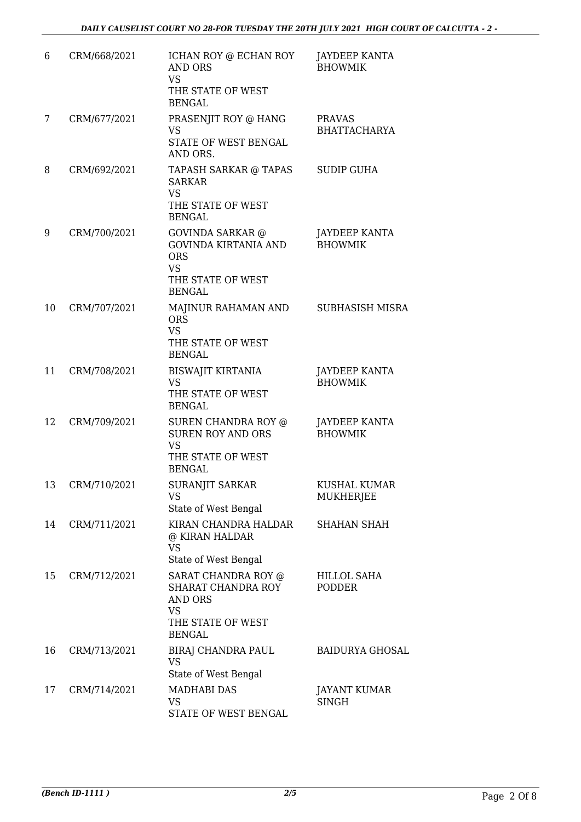| 6  | CRM/668/2021    | ICHAN ROY @ ECHAN ROY<br><b>AND ORS</b><br><b>VS</b><br>THE STATE OF WEST<br><b>BENGAL</b>                            | JAYDEEP KANTA<br><b>BHOWMIK</b>        |
|----|-----------------|-----------------------------------------------------------------------------------------------------------------------|----------------------------------------|
| 7  | CRM/677/2021    | PRASENJIT ROY @ HANG<br><b>VS</b><br>STATE OF WEST BENGAL<br>AND ORS.                                                 | <b>PRAVAS</b><br><b>BHATTACHARYA</b>   |
| 8  | CRM/692/2021    | TAPASH SARKAR @ TAPAS<br><b>SARKAR</b><br><b>VS</b><br>THE STATE OF WEST<br><b>BENGAL</b>                             | <b>SUDIP GUHA</b>                      |
| 9  | CRM/700/2021    | GOVINDA SARKAR @<br>GOVINDA KIRTANIA AND<br><b>ORS</b><br><b>VS</b><br>THE STATE OF WEST<br><b>BENGAL</b>             | <b>JAYDEEP KANTA</b><br><b>BHOWMIK</b> |
| 10 | CRM/707/2021    | MAJINUR RAHAMAN AND<br><b>ORS</b><br><b>VS</b><br>THE STATE OF WEST<br><b>BENGAL</b>                                  | <b>SUBHASISH MISRA</b>                 |
| 11 | CRM/708/2021    | <b>BISWAJIT KIRTANIA</b><br><b>VS</b><br>THE STATE OF WEST<br><b>BENGAL</b>                                           | <b>JAYDEEP KANTA</b><br><b>BHOWMIK</b> |
| 12 | CRM/709/2021    | SUREN CHANDRA ROY @<br><b>SUREN ROY AND ORS</b><br><b>VS</b><br>THE STATE OF WEST<br><b>BENGAL</b>                    | <b>JAYDEEP KANTA</b><br><b>BHOWMIK</b> |
|    | 13 CRM/710/2021 | <b>SURANJIT SARKAR</b><br><b>VS</b><br>State of West Bengal                                                           | KUSHAL KUMAR<br><b>MUKHERJEE</b>       |
| 14 | CRM/711/2021    | KIRAN CHANDRA HALDAR<br>@ KIRAN HALDAR<br><b>VS</b><br>State of West Bengal                                           | <b>SHAHAN SHAH</b>                     |
| 15 | CRM/712/2021    | SARAT CHANDRA ROY @<br><b>SHARAT CHANDRA ROY</b><br><b>AND ORS</b><br><b>VS</b><br>THE STATE OF WEST<br><b>BENGAL</b> | HILLOL SAHA<br><b>PODDER</b>           |
| 16 | CRM/713/2021    | BIRAJ CHANDRA PAUL<br><b>VS</b><br>State of West Bengal                                                               | <b>BAIDURYA GHOSAL</b>                 |
| 17 | CRM/714/2021    | <b>MADHABI DAS</b><br><b>VS</b><br>STATE OF WEST BENGAL                                                               | JAYANT KUMAR<br><b>SINGH</b>           |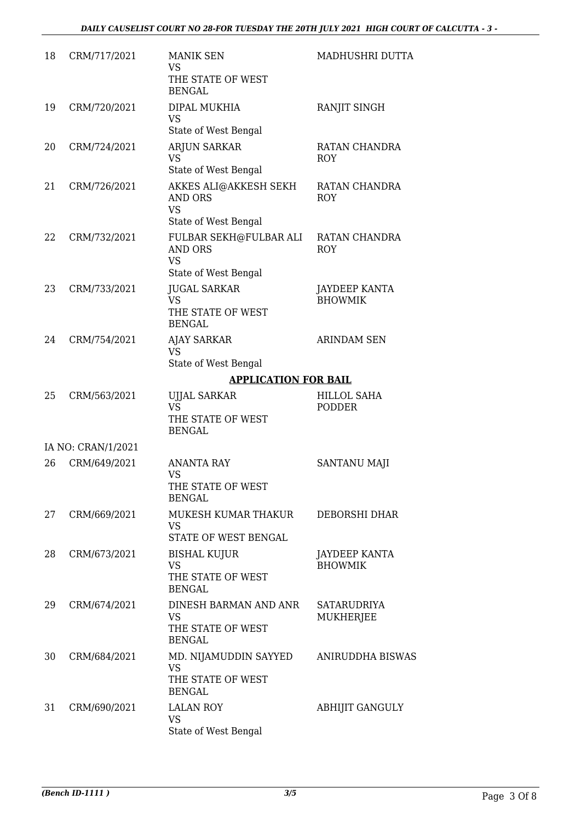| 18 | CRM/717/2021       | <b>MANIK SEN</b><br><b>VS</b><br>THE STATE OF WEST<br><b>BENGAL</b>           | MADHUSHRI DUTTA                        |
|----|--------------------|-------------------------------------------------------------------------------|----------------------------------------|
| 19 | CRM/720/2021       | DIPAL MUKHIA<br><b>VS</b><br>State of West Bengal                             | RANJIT SINGH                           |
| 20 | CRM/724/2021       | <b>ARJUN SARKAR</b><br><b>VS</b><br>State of West Bengal                      | RATAN CHANDRA<br><b>ROY</b>            |
| 21 | CRM/726/2021       | AKKES ALI@AKKESH SEKH<br><b>AND ORS</b><br><b>VS</b><br>State of West Bengal  | RATAN CHANDRA<br><b>ROY</b>            |
| 22 | CRM/732/2021       | FULBAR SEKH@FULBAR ALI<br><b>AND ORS</b><br><b>VS</b><br>State of West Bengal | RATAN CHANDRA<br><b>ROY</b>            |
| 23 | CRM/733/2021       | <b>JUGAL SARKAR</b><br><b>VS</b><br>THE STATE OF WEST<br><b>BENGAL</b>        | <b>JAYDEEP KANTA</b><br><b>BHOWMIK</b> |
| 24 | CRM/754/2021       | <b>AJAY SARKAR</b><br><b>VS</b><br>State of West Bengal                       | <b>ARINDAM SEN</b>                     |
|    |                    | <b>APPLICATION FOR BAIL</b>                                                   |                                        |
| 25 | CRM/563/2021       | <b>UJJAL SARKAR</b><br><b>VS</b><br>THE STATE OF WEST<br><b>BENGAL</b>        | <b>HILLOL SAHA</b><br><b>PODDER</b>    |
|    | IA NO: CRAN/1/2021 |                                                                               |                                        |
| 26 | CRM/649/2021       | <b>ANANTA RAY</b><br><b>VS</b><br>THE STATE OF WEST<br><b>BENGAL</b>          | <b>SANTANU MAJI</b>                    |
| 27 | CRM/669/2021       | MUKESH KUMAR THAKUR<br><b>VS</b><br>STATE OF WEST BENGAL                      | DEBORSHI DHAR                          |
| 28 | CRM/673/2021       | <b>BISHAL KUJUR</b><br><b>VS</b><br>THE STATE OF WEST<br><b>BENGAL</b>        | <b>JAYDEEP KANTA</b><br><b>BHOWMIK</b> |
| 29 | CRM/674/2021       | DINESH BARMAN AND ANR<br><b>VS</b><br>THE STATE OF WEST<br><b>BENGAL</b>      | <b>SATARUDRIYA</b><br>MUKHERJEE        |
| 30 | CRM/684/2021       | MD. NIJAMUDDIN SAYYED<br><b>VS</b><br>THE STATE OF WEST<br><b>BENGAL</b>      | ANIRUDDHA BISWAS                       |
| 31 | CRM/690/2021       | <b>LALAN ROY</b><br><b>VS</b><br>State of West Bengal                         | <b>ABHIJIT GANGULY</b>                 |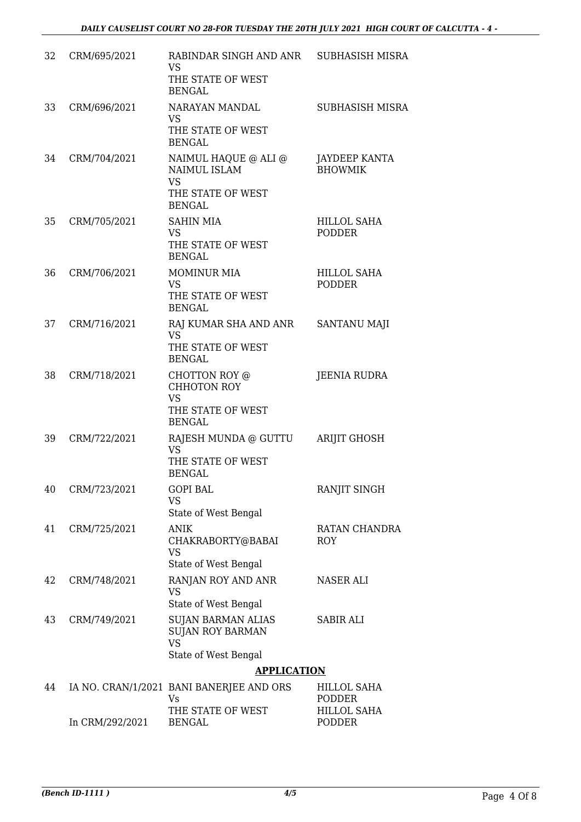| 32 | CRM/695/2021    | RABINDAR SINGH AND ANR<br><b>VS</b><br>THE STATE OF WEST<br><b>BENGAL</b>                 | SUBHASISH MISRA                     |
|----|-----------------|-------------------------------------------------------------------------------------------|-------------------------------------|
| 33 | CRM/696/2021    | NARAYAN MANDAL<br><b>VS</b><br>THE STATE OF WEST<br><b>BENGAL</b>                         | SUBHASISH MISRA                     |
| 34 | CRM/704/2021    | NAIMUL HAQUE @ ALI @<br>NAIMUL ISLAM<br><b>VS</b><br>THE STATE OF WEST<br><b>BENGAL</b>   | JAYDEEP KANTA<br><b>BHOWMIK</b>     |
| 35 | CRM/705/2021    | <b>SAHIN MIA</b><br>VS.<br>THE STATE OF WEST<br><b>BENGAL</b>                             | <b>HILLOL SAHA</b><br><b>PODDER</b> |
| 36 | CRM/706/2021    | <b>MOMINUR MIA</b><br>VS.<br>THE STATE OF WEST<br><b>BENGAL</b>                           | <b>HILLOL SAHA</b><br><b>PODDER</b> |
| 37 | CRM/716/2021    | RAJ KUMAR SHA AND ANR<br><b>VS</b><br>THE STATE OF WEST<br><b>BENGAL</b>                  | SANTANU MAJI                        |
| 38 | CRM/718/2021    | CHOTTON ROY @<br>CHHOTON ROY<br><b>VS</b><br>THE STATE OF WEST<br><b>BENGAL</b>           | <b>JEENIA RUDRA</b>                 |
| 39 | CRM/722/2021    | RAJESH MUNDA @ GUTTU<br><b>VS</b><br>THE STATE OF WEST<br><b>BENGAL</b>                   | <b>ARIJIT GHOSH</b>                 |
| 40 | CRM/723/2021    | <b>GOPI BAL</b><br><b>VS</b><br>State of West Bengal                                      | RANJIT SINGH                        |
| 41 | CRM/725/2021    | <b>ANIK</b><br>CHAKRABORTY@BABAI<br><b>VS</b><br>State of West Bengal                     | RATAN CHANDRA<br>ROY                |
| 42 | CRM/748/2021    | RANJAN ROY AND ANR<br><b>VS</b><br>State of West Bengal                                   | <b>NASER ALI</b>                    |
| 43 | CRM/749/2021    | <b>SUJAN BARMAN ALIAS</b><br><b>SUJAN ROY BARMAN</b><br><b>VS</b><br>State of West Bengal | <b>SABIR ALI</b>                    |
|    |                 | <b>APPLICATION</b>                                                                        |                                     |
| 44 |                 | IA NO. CRAN/1/2021 BANI BANERJEE AND ORS<br>Vs                                            | HILLOL SAHA<br>PODDER               |
|    | In CRM/292/2021 | THE STATE OF WEST<br><b>BENGAL</b>                                                        | HILLOL SAHA<br>PODDER               |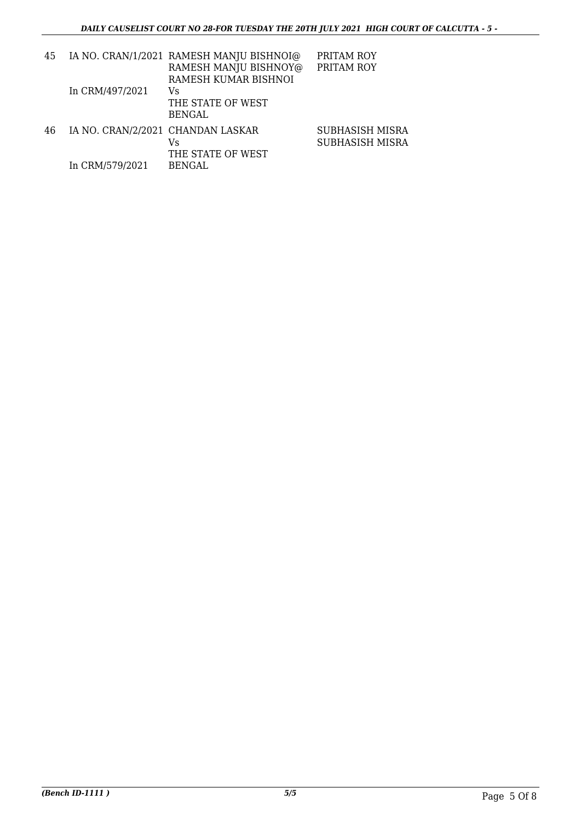| 45 |                                   | IA NO. CRAN/1/2021 RAMESH MANJU BISHNOI@<br>RAMESH MANJU BISHNOY@<br>RAMESH KUMAR BISHNOI | PRITAM ROY<br>PRITAM ROY           |
|----|-----------------------------------|-------------------------------------------------------------------------------------------|------------------------------------|
|    | In CRM/497/2021                   | Vs<br>THE STATE OF WEST<br><b>BENGAL</b>                                                  |                                    |
| 46 | IA NO. CRAN/2/2021 CHANDAN LASKAR | Vs<br>THE STATE OF WEST                                                                   | SUBHASISH MISRA<br>SUBHASISH MISRA |
|    | In CRM/579/2021                   | <b>BENGAL</b>                                                                             |                                    |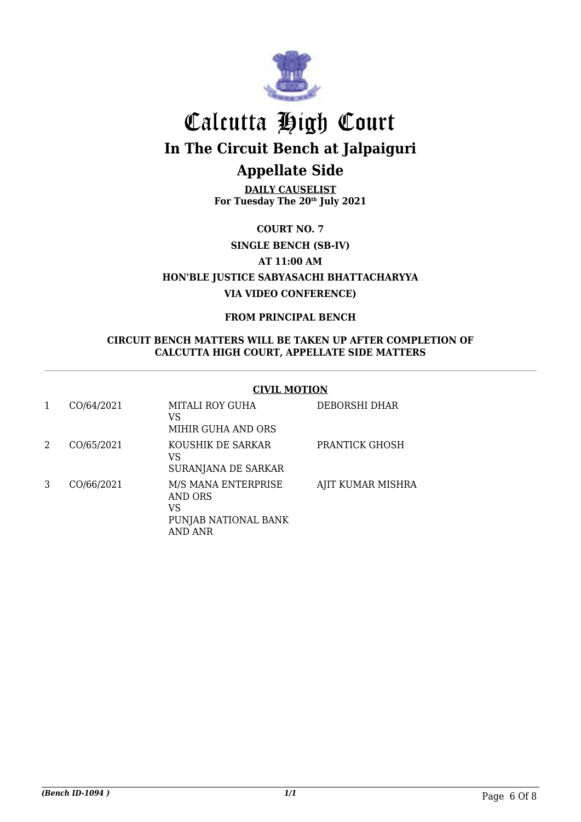

**DAILY CAUSELIST For Tuesday The 20th July 2021**

**COURT NO. 7**

**SINGLE BENCH (SB-IV)**

**AT 11:00 AM**

**HON'BLE JUSTICE SABYASACHI BHATTACHARYYA VIA VIDEO CONFERENCE)**

**FROM PRINCIPAL BENCH**

#### **CIRCUIT BENCH MATTERS WILL BE TAKEN UP AFTER COMPLETION OF CALCUTTA HIGH COURT, APPELLATE SIDE MATTERS**

#### **CIVIL MOTION**

|   | CO/64/2021 | MITALI ROY GUHA<br>VS<br>MIHIR GUHA AND ORS                                    | DEBORSHI DHAR     |
|---|------------|--------------------------------------------------------------------------------|-------------------|
| 2 | CO/65/2021 | KOUSHIK DE SARKAR<br>VS<br>SURANJANA DE SARKAR                                 | PRANTICK GHOSH    |
| 3 | CO/66/2021 | M/S MANA ENTERPRISE<br><b>AND ORS</b><br>VS<br>PUNJAB NATIONAL BANK<br>AND ANR | AJIT KUMAR MISHRA |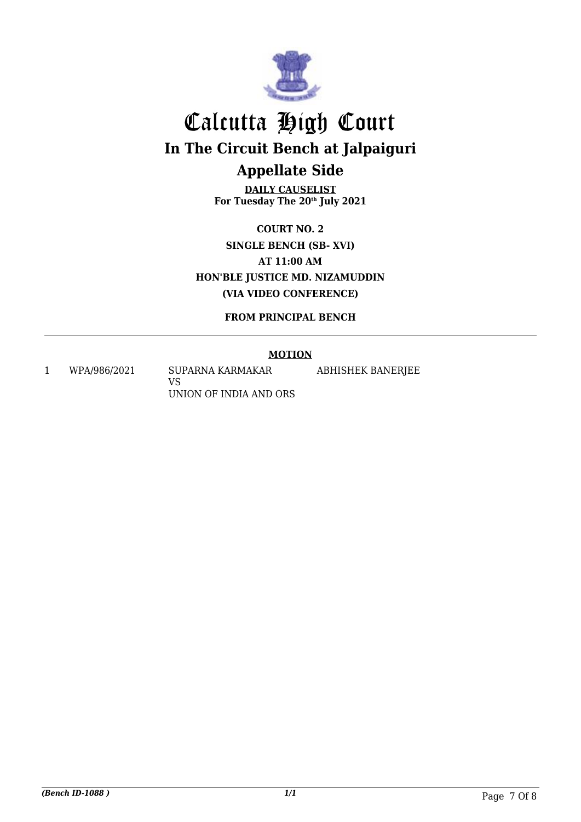

**DAILY CAUSELIST For Tuesday The 20th July 2021**

**COURT NO. 2 SINGLE BENCH (SB- XVI) AT 11:00 AM HON'BLE JUSTICE MD. NIZAMUDDIN (VIA VIDEO CONFERENCE)**

**FROM PRINCIPAL BENCH**

#### **MOTION**

1 WPA/986/2021 SUPARNA KARMAKAR VS UNION OF INDIA AND ORS ABHISHEK BANERJEE

*(Bench ID-1088 ) 1/1* Page 7 Of 8